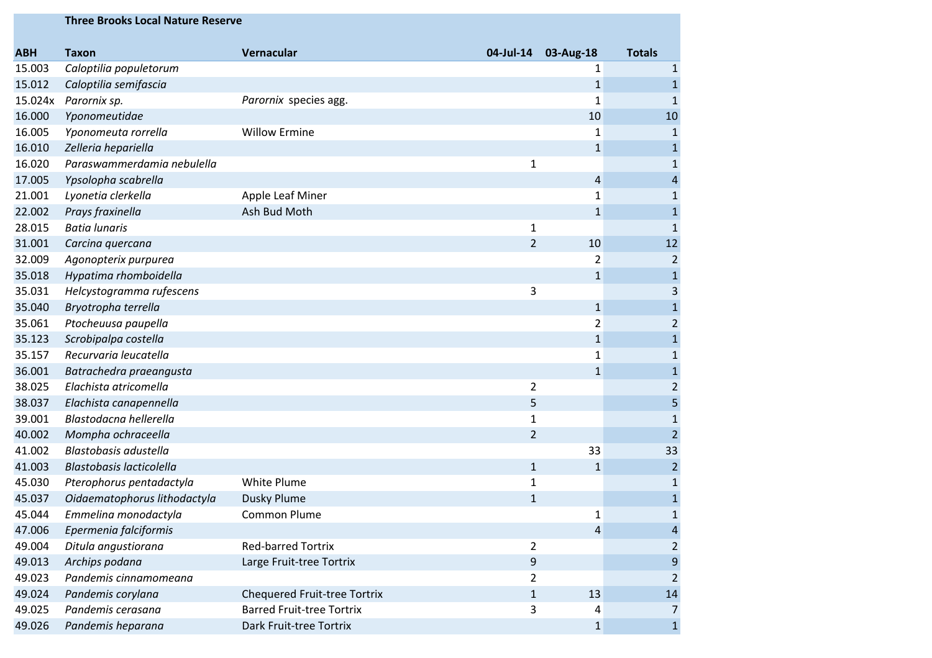|            | <b>Three Brooks Local Nature Reserve</b> |                                     |                |                |                         |
|------------|------------------------------------------|-------------------------------------|----------------|----------------|-------------------------|
| <b>ABH</b> | <b>Taxon</b>                             | Vernacular                          | 04-Jul-14      | 03-Aug-18      | <b>Totals</b>           |
| 15.003     | Caloptilia populetorum                   |                                     |                | 1              | $\mathbf{1}$            |
| 15.012     | Caloptilia semifascia                    |                                     |                | $\mathbf{1}$   | $\mathbf{1}$            |
| 15.024x    | Parornix sp.                             | Parornix species agg.               |                | $\mathbf{1}$   | $\mathbf{1}$            |
| 16.000     | Yponomeutidae                            |                                     |                | 10             | 10                      |
| 16.005     | Yponomeuta rorrella                      | <b>Willow Ermine</b>                |                | 1              | 1                       |
| 16.010     | Zelleria hepariella                      |                                     |                | $\mathbf{1}$   | $\mathbf{1}$            |
| 16.020     | Paraswammerdamia nebulella               |                                     | $\mathbf{1}$   |                | 1                       |
| 17.005     | Ypsolopha scabrella                      |                                     |                | 4              | 4                       |
| 21.001     | Lyonetia clerkella                       | Apple Leaf Miner                    |                | 1              | 1                       |
| 22.002     | Prays fraxinella                         | Ash Bud Moth                        |                | $\mathbf{1}$   | $\mathbf{1}$            |
| 28.015     | <b>Batia lunaris</b>                     |                                     | 1              |                | 1                       |
| 31.001     | Carcina quercana                         |                                     | $\overline{2}$ | 10             | 12                      |
| 32.009     | Agonopterix purpurea                     |                                     |                | 2              | $\overline{c}$          |
| 35.018     | Hypatima rhomboidella                    |                                     |                | $\mathbf{1}$   | 1                       |
| 35.031     | Helcystogramma rufescens                 |                                     | 3              |                | 3                       |
| 35.040     | Bryotropha terrella                      |                                     |                | $\mathbf{1}$   | 1                       |
| 35.061     | Ptocheuusa paupella                      |                                     |                | $\overline{2}$ | $\overline{c}$          |
| 35.123     | Scrobipalpa costella                     |                                     |                | $\mathbf{1}$   | $\mathbf{1}$            |
| 35.157     | Recurvaria leucatella                    |                                     |                | 1              | 1                       |
| 36.001     | Batrachedra praeangusta                  |                                     |                | $\mathbf{1}$   | $\mathbf{1}$            |
| 38.025     | Elachista atricomella                    |                                     | $\overline{2}$ |                | $\overline{\mathbf{c}}$ |
| 38.037     | Elachista canapennella                   |                                     | 5              |                | 5                       |
| 39.001     | Blastodacna hellerella                   |                                     | $\mathbf{1}$   |                |                         |
| 40.002     | Mompha ochraceella                       |                                     | $\overline{2}$ |                | $\overline{2}$          |
| 41.002     | Blastobasis adustella                    |                                     |                | 33             | 33                      |
| 41.003     | <b>Blastobasis lacticolella</b>          |                                     | $\mathbf{1}$   | $\mathbf{1}$   | $\overline{c}$          |
| 45.030     | Pterophorus pentadactyla                 | White Plume                         | 1              |                | 1                       |
| 45.037     | Oidaematophorus lithodactyla             | <b>Dusky Plume</b>                  | $1\,$          |                | $\mathbf{1}$            |
| 45.044     | Emmelina monodactyla                     | <b>Common Plume</b>                 |                | 1              |                         |
| 47.006     | Epermenia falciformis                    |                                     |                | 4              | 4                       |
| 49.004     | Ditula angustiorana                      | <b>Red-barred Tortrix</b>           | $\overline{2}$ |                | 2                       |
| 49.013     | Archips podana                           | Large Fruit-tree Tortrix            | 9              |                | 9                       |
| 49.023     | Pandemis cinnamomeana                    |                                     | $\overline{2}$ |                | 2                       |
| 49.024     | Pandemis corylana                        | <b>Chequered Fruit-tree Tortrix</b> | $\mathbf{1}$   | 13             | 14                      |
| 49.025     | Pandemis cerasana                        | <b>Barred Fruit-tree Tortrix</b>    | 3              | 4              | 7                       |
| 49.026     | Pandemis heparana                        | Dark Fruit-tree Tortrix             |                | 1              | 1                       |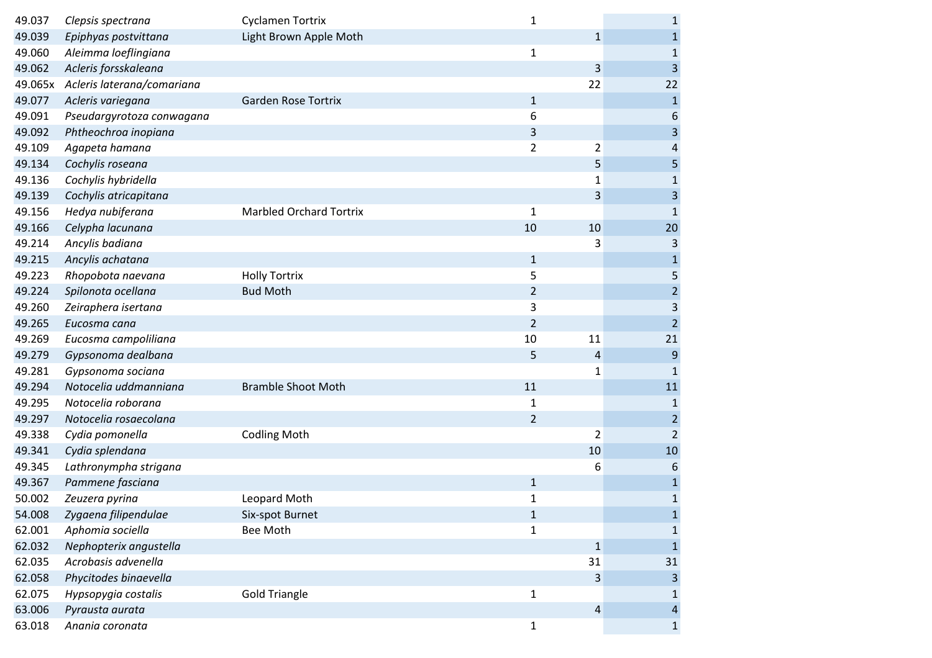| 49.037  | Clepsis spectrana          | Cyclamen Tortrix               | $\mathbf{1}$   |                | $\mathbf{1}$   |
|---------|----------------------------|--------------------------------|----------------|----------------|----------------|
| 49.039  | Epiphyas postvittana       | Light Brown Apple Moth         |                | $\mathbf{1}$   | $\mathbf 1$    |
| 49.060  | Aleimma loeflingiana       |                                | $\mathbf{1}$   |                | $\mathbf{1}$   |
| 49.062  | Acleris forsskaleana       |                                |                | 3              | 3              |
| 49.065x | Acleris laterana/comariana |                                |                | 22             | 22             |
| 49.077  | Acleris variegana          | <b>Garden Rose Tortrix</b>     | $\mathbf{1}$   |                | $\mathbf 1$    |
| 49.091  | Pseudargyrotoza conwagana  |                                | 6              |                | 6              |
| 49.092  | Phtheochroa inopiana       |                                | 3              |                | 3              |
| 49.109  | Agapeta hamana             |                                | $\overline{2}$ | 2              | 4              |
| 49.134  | Cochylis roseana           |                                |                | 5              | 5              |
| 49.136  | Cochylis hybridella        |                                |                | 1              | $\mathbf 1$    |
| 49.139  | Cochylis atricapitana      |                                |                | 3              | $\mathsf 3$    |
| 49.156  | Hedya nubiferana           | <b>Marbled Orchard Tortrix</b> | 1              |                | $\mathbf{1}$   |
| 49.166  | Celypha lacunana           |                                | 10             | 10             | 20             |
| 49.214  | Ancylis badiana            |                                |                | 3              | 3              |
| 49.215  | Ancylis achatana           |                                | $\mathbf{1}$   |                | $\mathbf 1$    |
| 49.223  | Rhopobota naevana          | <b>Holly Tortrix</b>           | 5              |                | 5              |
| 49.224  | Spilonota ocellana         | <b>Bud Moth</b>                | $\overline{2}$ |                | $\overline{c}$ |
| 49.260  | Zeiraphera isertana        |                                | 3              |                | $\mathsf 3$    |
| 49.265  | Eucosma cana               |                                | $\overline{2}$ |                | $\overline{2}$ |
| 49.269  | Eucosma campoliliana       |                                | 10             | 11             | 21             |
| 49.279  | Gypsonoma dealbana         |                                | 5              | $\overline{4}$ | 9              |
| 49.281  | Gypsonoma sociana          |                                |                | 1              | 1              |
| 49.294  | Notocelia uddmanniana      | <b>Bramble Shoot Moth</b>      | 11             |                | 11             |
| 49.295  | Notocelia roborana         |                                | 1              |                | $\mathbf{1}$   |
| 49.297  | Notocelia rosaecolana      |                                | $\overline{2}$ |                | $\overline{2}$ |
| 49.338  | Cydia pomonella            | <b>Codling Moth</b>            |                | $\overline{2}$ | $\overline{2}$ |
| 49.341  | Cydia splendana            |                                |                | 10             | 10             |
| 49.345  | Lathronympha strigana      |                                |                | 6              | 6              |
| 49.367  | Pammene fasciana           |                                | $\mathbf 1$    |                | $\mathbf 1$    |
| 50.002  | Zeuzera pyrina             | Leopard Moth                   | $\mathbf 1$    |                | $1\,$          |
| 54.008  | Zygaena filipendulae       | Six-spot Burnet                | $\mathbf{1}$   |                | $\mathbf{1}$   |
| 62.001  | Aphomia sociella           | Bee Moth                       | $\mathbf{1}$   |                | 1              |
| 62.032  | Nephopterix angustella     |                                |                | $\mathbf{1}$   | $\mathbf{1}$   |
| 62.035  | Acrobasis advenella        |                                |                | 31             | 31             |
| 62.058  | Phycitodes binaevella      |                                |                | 3              | 3              |
| 62.075  | Hypsopygia costalis        | <b>Gold Triangle</b>           | $\mathbf{1}$   |                | 1              |
| 63.006  | Pyrausta aurata            |                                |                | 4              | $\overline{4}$ |
| 63.018  | Anania coronata            |                                | $\mathbf{1}$   |                | $\mathbf{1}$   |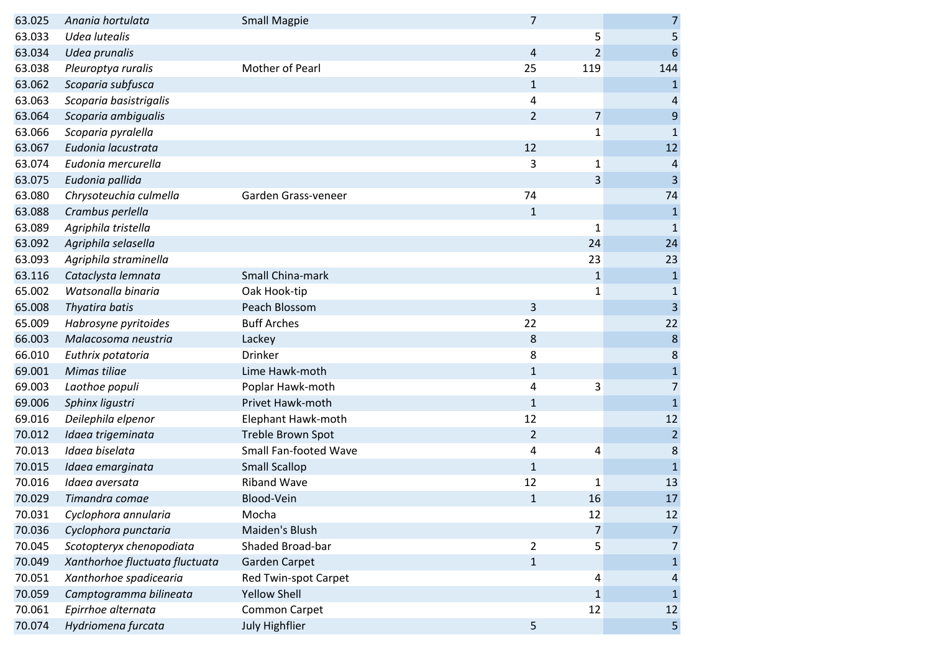| 63.025 | Anania hortulata               | <b>Small Magpie</b>          | $\overline{7}$ |                | $\overline{7}$          |
|--------|--------------------------------|------------------------------|----------------|----------------|-------------------------|
| 63.033 | Udea lutealis                  |                              |                | 5              | 5                       |
| 63.034 | Udea prunalis                  |                              | 4              | $\overline{2}$ | 6                       |
| 63.038 | Pleuroptya ruralis             | Mother of Pearl              | 25             | 119            | 144                     |
| 63.062 | Scoparia subfusca              |                              | 1              |                | $\mathbf{1}$            |
| 63.063 | Scoparia basistrigalis         |                              | 4              |                | 4                       |
| 63.064 | Scoparia ambigualis            |                              | $\overline{2}$ | $\overline{7}$ | $\boldsymbol{9}$        |
| 63.066 | Scoparia pyralella             |                              |                | $\mathbf{1}$   | $\mathbf{1}$            |
| 63.067 | Eudonia lacustrata             |                              | 12             |                | 12                      |
| 63.074 | Eudonia mercurella             |                              | 3              | $\mathbf{1}$   | $\overline{4}$          |
| 63.075 | Eudonia pallida                |                              |                | 3              | $\overline{3}$          |
| 63.080 | Chrysoteuchia culmella         | Garden Grass-veneer          | 74             |                | 74                      |
| 63.088 | Crambus perlella               |                              | $\mathbf{1}$   |                | $\mathbf{1}$            |
| 63.089 | Agriphila tristella            |                              |                | $\mathbf{1}$   | $\mathbf{1}$            |
| 63.092 | Agriphila selasella            |                              |                | 24             | 24                      |
| 63.093 | Agriphila straminella          |                              |                | 23             | 23                      |
| 63.116 | Cataclysta lemnata             | Small China-mark             |                | $1\,$          | $\mathbf 1$             |
| 65.002 | Watsonalla binaria             | Oak Hook-tip                 |                | $\mathbf{1}$   | $1\,$                   |
| 65.008 | Thyatira batis                 | Peach Blossom                | 3              |                | $\overline{\mathbf{3}}$ |
| 65.009 | Habrosyne pyritoides           | <b>Buff Arches</b>           | 22             |                | 22                      |
| 66.003 | Malacosoma neustria            | Lackey                       | 8              |                | $\bf 8$                 |
| 66.010 | Euthrix potatoria              | Drinker                      | 8              |                | $\bf 8$                 |
| 69.001 | Mimas tiliae                   | Lime Hawk-moth               | 1              |                | $\mathbf 1$             |
| 69.003 | Laothoe populi                 | Poplar Hawk-moth             | 4              | 3              | $\overline{7}$          |
| 69.006 | Sphinx ligustri                | Privet Hawk-moth             | $\mathbf{1}$   |                | $\mathbf{1}$            |
| 69.016 | Deilephila elpenor             | Elephant Hawk-moth           | 12             |                | 12                      |
| 70.012 | Idaea trigeminata              | Treble Brown Spot            | $\overline{2}$ |                | $\overline{2}$          |
| 70.013 | Idaea biselata                 | <b>Small Fan-footed Wave</b> | 4              | 4              | $\bf 8$                 |
| 70.015 | Idaea emarginata               | <b>Small Scallop</b>         | $\mathbf{1}$   |                | $\mathbf{1}$            |
| 70.016 | Idaea aversata                 | <b>Riband Wave</b>           | 12             | 1              | 13                      |
| 70.029 | Timandra comae                 | Blood-Vein                   | 1              | 16             | 17                      |
| 70.031 | Cyclophora annularia           | Mocha                        |                | 12             | 12                      |
| 70.036 | Cyclophora punctaria           | Maiden's Blush               |                | 7              | $\overline{7}$          |
| 70.045 | Scotopteryx chenopodiata       | Shaded Broad-bar             | $\overline{2}$ | 5              | 7                       |
| 70.049 | Xanthorhoe fluctuata fluctuata | Garden Carpet                | $\mathbf{1}$   |                | $\mathbf{1}$            |
| 70.051 | Xanthorhoe spadicearia         | Red Twin-spot Carpet         |                | 4              | 4                       |
| 70.059 | Camptogramma bilineata         | <b>Yellow Shell</b>          |                | $\mathbf 1$    | $\mathbf{1}$            |
| 70.061 | Epirrhoe alternata             | <b>Common Carpet</b>         |                | 12             | 12                      |
| 70.074 | Hydriomena furcata             | July Highflier               | 5              |                | 5                       |
|        |                                |                              |                |                |                         |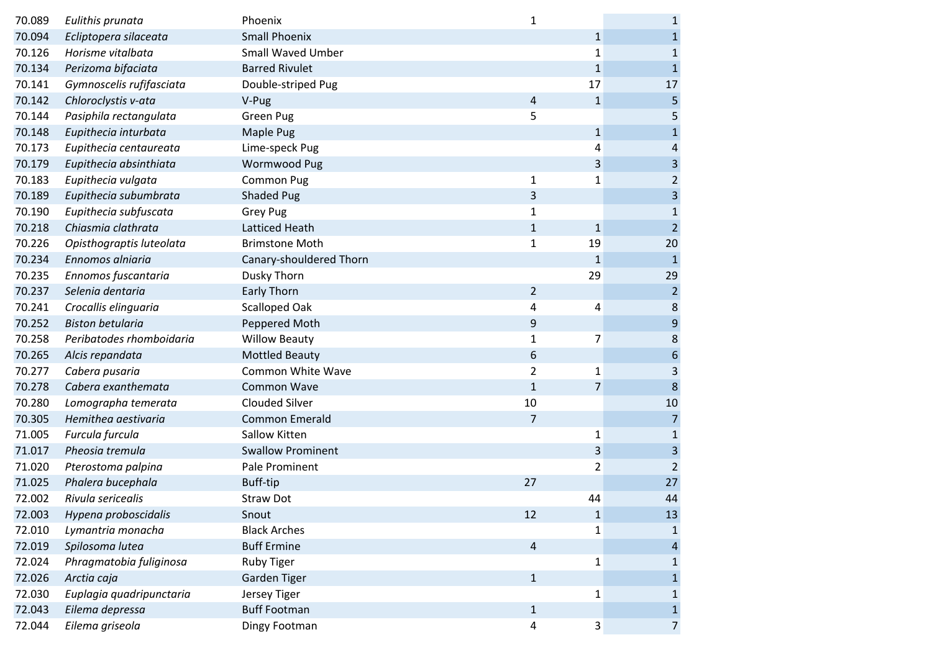| 70.089 | Eulithis prunata         | Phoenix                  | 1              |              | $\mathbf{1}$     |
|--------|--------------------------|--------------------------|----------------|--------------|------------------|
| 70.094 | Ecliptopera silaceata    | <b>Small Phoenix</b>     |                | $\mathbf{1}$ | $\mathbf{1}$     |
| 70.126 | Horisme vitalbata        | <b>Small Waved Umber</b> |                | $\mathbf{1}$ | $\mathbf{1}$     |
| 70.134 | Perizoma bifaciata       | <b>Barred Rivulet</b>    |                | $\mathbf{1}$ | $\mathbf{1}$     |
| 70.141 | Gymnoscelis rufifasciata | Double-striped Pug       |                | 17           | 17               |
| 70.142 | Chloroclystis v-ata      | V-Pug                    | 4              | $\mathbf{1}$ | 5                |
| 70.144 | Pasiphila rectangulata   | Green Pug                | 5              |              | 5                |
| 70.148 | Eupithecia inturbata     | <b>Maple Pug</b>         |                | $\mathbf{1}$ | $\mathbf{1}$     |
| 70.173 | Eupithecia centaureata   | Lime-speck Pug           |                | 4            | $\overline{4}$   |
| 70.179 | Eupithecia absinthiata   | Wormwood Pug             |                | 3            | $\overline{3}$   |
| 70.183 | Eupithecia vulgata       | <b>Common Pug</b>        | $\mathbf{1}$   | $\mathbf{1}$ | $\overline{2}$   |
| 70.189 | Eupithecia subumbrata    | <b>Shaded Pug</b>        | 3              |              | 3                |
| 70.190 | Eupithecia subfuscata    | Grey Pug                 | $\mathbf{1}$   |              | $\mathbf{1}$     |
| 70.218 | Chiasmia clathrata       | Latticed Heath           | $\mathbf{1}$   | $\mathbf{1}$ | $\overline{2}$   |
| 70.226 | Opisthograptis luteolata | <b>Brimstone Moth</b>    | $\mathbf{1}$   | 19           | 20               |
| 70.234 | Ennomos alniaria         | Canary-shouldered Thorn  |                | $\mathbf{1}$ | $\mathbf{1}$     |
| 70.235 | Ennomos fuscantaria      | Dusky Thorn              |                | 29           | 29               |
| 70.237 | Selenia dentaria         | <b>Early Thorn</b>       | $\overline{2}$ |              | $\overline{2}$   |
| 70.241 | Crocallis elinguaria     | Scalloped Oak            | 4              | 4            | $\bf 8$          |
| 70.252 | <b>Biston betularia</b>  | Peppered Moth            | 9              |              | $9\,$            |
| 70.258 | Peribatodes rhomboidaria | <b>Willow Beauty</b>     | $\mathbf{1}$   | 7            | $\bf 8$          |
| 70.265 | Alcis repandata          | <b>Mottled Beauty</b>    | 6              |              | $\boldsymbol{6}$ |
| 70.277 | Cabera pusaria           | <b>Common White Wave</b> | $\overline{2}$ | 1            | 3                |
| 70.278 | Cabera exanthemata       | <b>Common Wave</b>       | $\mathbf{1}$   | 7            | 8                |
| 70.280 | Lomographa temerata      | <b>Clouded Silver</b>    | 10             |              | 10               |
| 70.305 | Hemithea aestivaria      | <b>Common Emerald</b>    | $\overline{7}$ |              | $\overline{7}$   |
| 71.005 | Furcula furcula          | Sallow Kitten            |                | $\mathbf 1$  | $\mathbf{1}$     |
| 71.017 | Pheosia tremula          | <b>Swallow Prominent</b> |                | $\mathbf{3}$ | $\overline{3}$   |
| 71.020 | Pterostoma palpina       | Pale Prominent           |                | 2            | $\overline{2}$   |
| 71.025 | Phalera bucephala        | Buff-tip                 | 27             |              | 27               |
| 72.002 | Rivula sericealis        | <b>Straw Dot</b>         |                | 44           | 44               |
| 72.003 | Hypena proboscidalis     | Snout                    | 12             | $\mathbf{1}$ | 13               |
| 72.010 | Lymantria monacha        | <b>Black Arches</b>      |                | 1            | 1                |
| 72.019 | Spilosoma lutea          | <b>Buff Ermine</b>       | 4              |              | $\overline{a}$   |
| 72.024 | Phragmatobia fuliginosa  | <b>Ruby Tiger</b>        |                | $\mathbf 1$  | 1                |
| 72.026 | Arctia caja              | Garden Tiger             | $1\,$          |              | $\mathbf{1}$     |
| 72.030 | Euplagia quadripunctaria | Jersey Tiger             |                | $\mathbf{1}$ | $\mathbf{1}$     |
| 72.043 | Eilema depressa          | <b>Buff Footman</b>      | $\mathbf{1}$   |              | $\mathbf{1}$     |
| 72.044 | Eilema griseola          | Dingy Footman            | 4              | $\mathbf{3}$ | $\overline{7}$   |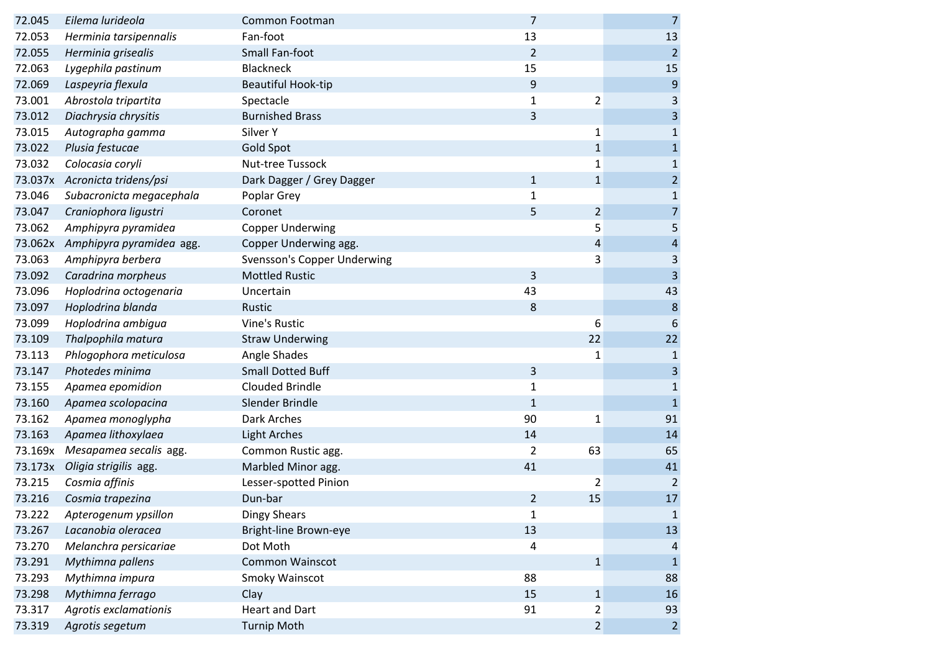| 72.045  | Eilema lurideola         | Common Footman                     | 7              |                | $\overline{7}$          |
|---------|--------------------------|------------------------------------|----------------|----------------|-------------------------|
| 72.053  | Herminia tarsipennalis   | Fan-foot                           | 13             |                | 13                      |
| 72.055  | Herminia grisealis       | Small Fan-foot                     | $\overline{2}$ |                | $\overline{2}$          |
| 72.063  | Lygephila pastinum       | <b>Blackneck</b>                   | 15             |                | 15                      |
| 72.069  | Laspeyria flexula        | <b>Beautiful Hook-tip</b>          | 9              |                | $9$                     |
| 73.001  | Abrostola tripartita     | Spectacle                          | $\mathbf{1}$   | $\overline{2}$ | 3                       |
| 73.012  | Diachrysia chrysitis     | <b>Burnished Brass</b>             | 3              |                | $\mathsf 3$             |
| 73.015  | Autographa gamma         | Silver Y                           |                | $\mathbf{1}$   | $\mathbf 1$             |
| 73.022  | Plusia festucae          | Gold Spot                          |                | $\mathbf{1}$   | $\mathbf{1}$            |
| 73.032  | Colocasia coryli         | Nut-tree Tussock                   |                | 1              | $\mathbf 1$             |
| 73.037x | Acronicta tridens/psi    | Dark Dagger / Grey Dagger          | $\mathbf{1}$   | $\mathbf{1}$   | $\overline{c}$          |
| 73.046  | Subacronicta megacephala | Poplar Grey                        | $\mathbf{1}$   |                | $\mathbf{1}$            |
| 73.047  | Craniophora ligustri     | Coronet                            | 5              | $\overline{2}$ | $\overline{7}$          |
| 73.062  | Amphipyra pyramidea      | <b>Copper Underwing</b>            |                | 5              | 5                       |
| 73.062x | Amphipyra pyramidea agg. | Copper Underwing agg.              |                | 4              | $\overline{\mathbf{r}}$ |
| 73.063  | Amphipyra berbera        | <b>Svensson's Copper Underwing</b> |                | 3              | 3                       |
| 73.092  | Caradrina morpheus       | <b>Mottled Rustic</b>              | 3              |                | $\overline{3}$          |
| 73.096  | Hoplodrina octogenaria   | Uncertain                          | 43             |                | 43                      |
| 73.097  | Hoplodrina blanda        | Rustic                             | 8              |                | $\boldsymbol{8}$        |
| 73.099  | Hoplodrina ambigua       | <b>Vine's Rustic</b>               |                | 6              | 6                       |
| 73.109  | Thalpophila matura       | <b>Straw Underwing</b>             |                | 22             | 22                      |
| 73.113  | Phlogophora meticulosa   | Angle Shades                       |                | $\mathbf{1}$   | $\mathbf{1}$            |
| 73.147  | Photedes minima          | <b>Small Dotted Buff</b>           | 3              |                | $\overline{\mathbf{3}}$ |
| 73.155  | Apamea epomidion         | <b>Clouded Brindle</b>             | $\mathbf{1}$   |                | $\mathbf 1$             |
| 73.160  | Apamea scolopacina       | Slender Brindle                    | $\mathbf{1}$   |                | $\mathbf 1$             |
| 73.162  | Apamea monoglypha        | Dark Arches                        | 90             | 1              | 91                      |
| 73.163  | Apamea lithoxylaea       | <b>Light Arches</b>                | 14             |                | 14                      |
| 73.169x | Mesapamea secalis agg.   | Common Rustic agg.                 | 2              | 63             | 65                      |
| 73.173x | Oligia strigilis agg.    | Marbled Minor agg.                 | 41             |                | 41                      |
| 73.215  | Cosmia affinis           | Lesser-spotted Pinion              |                | 2              | $\overline{2}$          |
| 73.216  | Cosmia trapezina         | Dun-bar                            | $\overline{2}$ | 15             | 17                      |
| 73.222  | Apterogenum ypsillon     | <b>Dingy Shears</b>                | $\mathbf{1}$   |                | $\mathbf{1}$            |
| 73.267  | Lacanobia oleracea       | Bright-line Brown-eye              | 13             |                | 13                      |
| 73.270  | Melanchra persicariae    | Dot Moth                           | 4              |                | 4                       |
| 73.291  | Mythimna pallens         | <b>Common Wainscot</b>             |                | $\mathbf{1}$   | $\mathbf{1}$            |
| 73.293  | Mythimna impura          | Smoky Wainscot                     | 88             |                | 88                      |
| 73.298  | Mythimna ferrago         | Clay                               | 15             | $\mathbf{1}$   | 16                      |
| 73.317  | Agrotis exclamationis    | <b>Heart and Dart</b>              | 91             | 2              | 93                      |
| 73.319  | Agrotis segetum          | <b>Turnip Moth</b>                 |                | $\overline{2}$ | $\overline{2}$          |
|         |                          |                                    |                |                |                         |